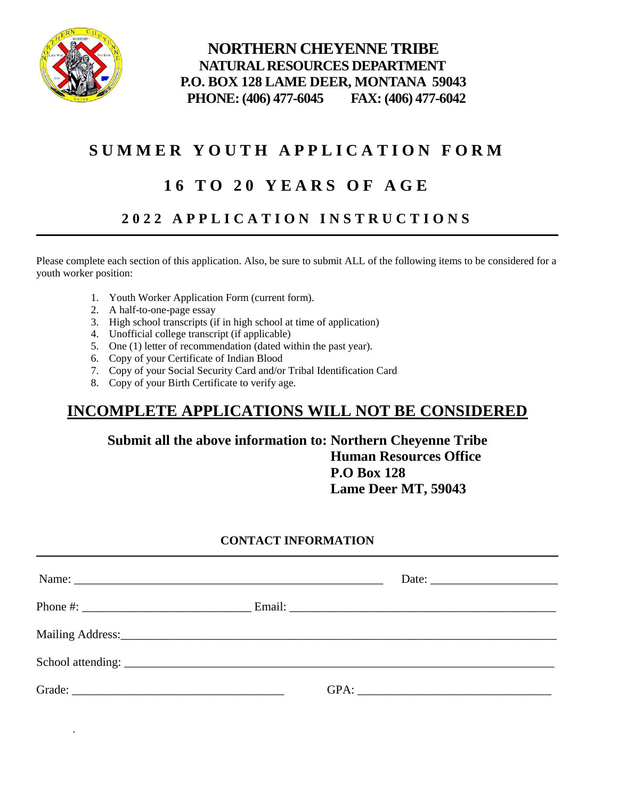

.

 **NORTHERN CHEYENNE TRIBE NATURAL RESOURCES DEPARTMENT P.O. BOX 128 LAME DEER, MONTANA 59043 PHONE: (406) 477-6045 FAX: (406) 477-6042**

# **S U M M E R Y O U T H A P P L I C A T I O N F O R M**

# **1 6 T O 2 0 Y E A R S O F A G E**

## **2 0 2 2 A P P L I C A T I O N I N S T R U C T I O N S**

Please complete each section of this application. Also, be sure to submit ALL of the following items to be considered for a youth worker position:

- 1. Youth Worker Application Form (current form).
- 2. A half-to-one-page essay
- 3. High school transcripts (if in high school at time of application)
- 4. Unofficial college transcript (if applicable)
- 5. One (1) letter of recommendation (dated within the past year).
- 6. Copy of your Certificate of Indian Blood
- 7. Copy of your Social Security Card and/or Tribal Identification Card
- 8. Copy of your Birth Certificate to verify age.

## **INCOMPLETE APPLICATIONS WILL NOT BE CONSIDERED**

### **Submit all the above information to: Northern Cheyenne Tribe Human Resources Office P.O Box 128 Lame Deer MT, 59043**

#### **CONTACT INFORMATION**

| Name: | Date: $\frac{1}{\sqrt{1-\frac{1}{2}} \cdot \frac{1}{2}}$ |
|-------|----------------------------------------------------------|
|       |                                                          |
|       |                                                          |
|       |                                                          |
|       |                                                          |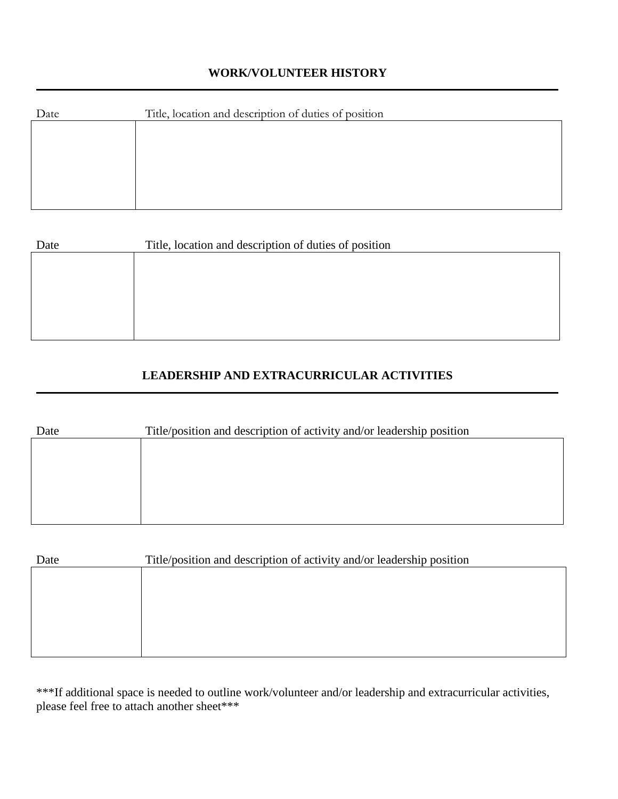#### **WORK/VOLUNTEER HISTORY**

| Date | Title, location and description of duties of position |
|------|-------------------------------------------------------|
|      |                                                       |
|      |                                                       |
|      |                                                       |
|      |                                                       |
|      |                                                       |

| Date | Title, location and description of duties of position |
|------|-------------------------------------------------------|
|      |                                                       |
|      |                                                       |
|      |                                                       |
|      |                                                       |
|      |                                                       |

### **LEADERSHIP AND EXTRACURRICULAR ACTIVITIES**

| Date | Title/position and description of activity and/or leadership position |
|------|-----------------------------------------------------------------------|
|      |                                                                       |
|      |                                                                       |
|      |                                                                       |
|      |                                                                       |
|      |                                                                       |

| Date | Title/position and description of activity and/or leadership position |
|------|-----------------------------------------------------------------------|
|      |                                                                       |
|      |                                                                       |
|      |                                                                       |
|      |                                                                       |
|      |                                                                       |
|      |                                                                       |

\*\*\*If additional space is needed to outline work/volunteer and/or leadership and extracurricular activities, please feel free to attach another sheet\*\*\*